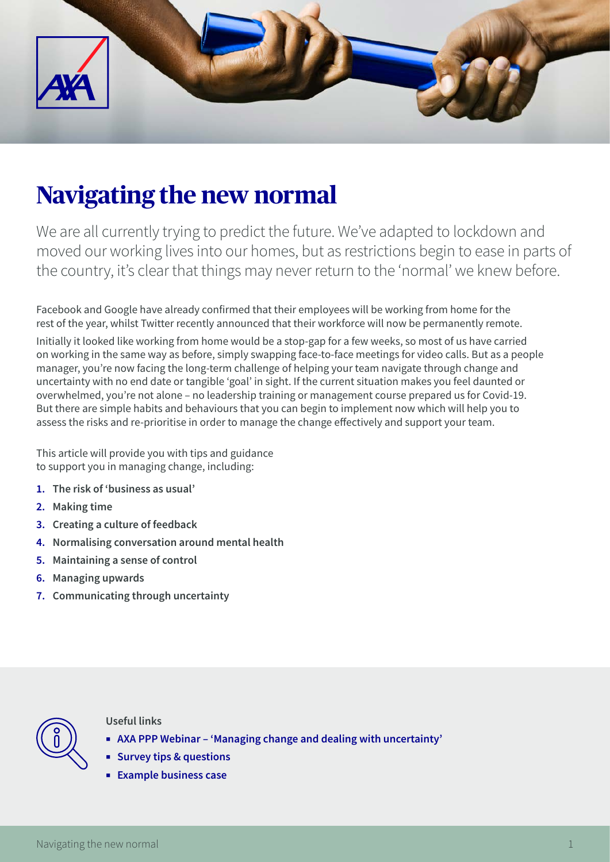

# **Navigating the new normal**

We are all currently trying to predict the future. We've adapted to lockdown and moved our working lives into our homes, but as restrictions begin to ease in parts of the country, it's clear that things may never return to the 'normal' we knew before.

Facebook and Google have already confirmed that their employees will be working from home for the rest of the year, whilst Twitter recently announced that their workforce will now be permanently remote.

Initially it looked like working from home would be a stop-gap for a few weeks, so most of us have carried on working in the same way as before, simply swapping face-to-face meetings for video calls. But as a people manager, you're now facing the long-term challenge of helping your team navigate through change and uncertainty with no end date or tangible 'goal' in sight. If the current situation makes you feel daunted or overwhelmed, you're not alone – no leadership training or management course prepared us for Covid-19. But there are simple habits and behaviours that you can begin to implement now which will help you to assess the risks and re-prioritise in order to manage the change effectively and support your team.

This article will provide you with tips and guidance to support you in managing change, including:

- **1. The risk of 'business as usual'**
- **2. Making time**
- **3. Creating a culture of feedback**
- **4. Normalising conversation around mental health**
- **5. Maintaining a sense of control**
- **6. Managing upwards**
- **7. Communicating through uncertainty**



#### **Useful links**

- ¡ **[AXA PPP Webinar 'Managing change and dealing with uncertainty'](https://vimeo.com/401317932)**
- ¡ **[Survey tips & questions](https://www2.axa-insurance.co.uk/l/471271/2020-06-18/3km18z/471271/120783/95679_1218662_PDF_survey_tips_and_questions_v2.pdf)**
- ¡ **[Example business case](https://www2.axa-insurance.co.uk/l/471271/2020-06-18/3km192/471271/120785/95679_1218666_example_business_case_v2.pdf)**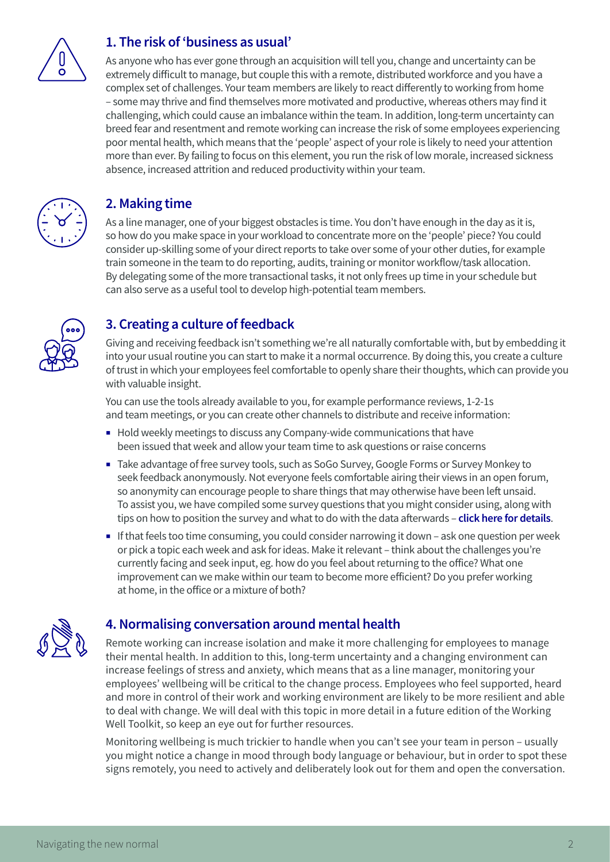

#### **1. The risk of 'business as usual'**

As anyone who has ever gone through an acquisition will tell you, change and uncertainty can be extremely difficult to manage, but couple this with a remote, distributed workforce and you have a complex set of challenges. Your team members are likely to react differently to working from home – some may thrive and find themselves more motivated and productive, whereas others may find it challenging, which could cause an imbalance within the team. In addition, long-term uncertainty can breed fear and resentment and remote working can increase the risk of some employees experiencing poor mental health, which means that the 'people' aspect of your role is likely to need your attention more than ever. By failing to focus on this element, you run the risk of low morale, increased sickness absence, increased attrition and reduced productivity within your team.



#### **2. Making time**

As a line manager, one of your biggest obstacles is time. You don't have enough in the day as it is, so how do you make space in your workload to concentrate more on the 'people' piece? You could consider up-skilling some of your direct reports to take over some of your other duties, for example train someone in the team to do reporting, audits, training or monitor workflow/task allocation. By delegating some of the more transactional tasks, it not only frees up time in your schedule but can also serve as a useful tool to develop high-potential team members.



## **3. Creating a culture of feedback**

Giving and receiving feedback isn't something we're all naturally comfortable with, but by embedding it into your usual routine you can start to make it a normal occurrence. By doing this, you create a culture of trust in which your employees feel comfortable to openly share their thoughts, which can provide you with valuable insight.

You can use the tools already available to you, for example performance reviews, 1-2-1s and team meetings, or you can create other channels to distribute and receive information:

- Hold weekly meetings to discuss any Company-wide communications that have been issued that week and allow your team time to ask questions or raise concerns
- Take advantage of free survey tools, such as SoGo Survey, Google Forms or Survey Monkey to seek feedback anonymously. Not everyone feels comfortable airing their views in an open forum, so anonymity can encourage people to share things that may otherwise have been left unsaid. To assist you, we have compiled some survey questions that you might consider using, along with tips on how to position the survey and what to do with the data afterwards – **[click here for details](https://www2.axa-insurance.co.uk/l/471271/2020-06-18/3km18z/471271/120783/95679_1218662_PDF_survey_tips_and_questions_v2.pdf)**.
- If that feels too time consuming, you could consider narrowing it down ask one question per week or pick a topic each week and ask for ideas. Make it relevant – think about the challenges you're currently facing and seek input, eg. how do you feel about returning to the office? What one improvement can we make within our team to become more efficient? Do you prefer working at home, in the office or a mixture of both?



#### **4. Normalising conversation around mental health**

Remote working can increase isolation and make it more challenging for employees to manage their mental health. In addition to this, long-term uncertainty and a changing environment can increase feelings of stress and anxiety, which means that as a line manager, monitoring your employees' wellbeing will be critical to the change process. Employees who feel supported, heard and more in control of their work and working environment are likely to be more resilient and able to deal with change. We will deal with this topic in more detail in a future edition of the Working Well Toolkit, so keep an eye out for further resources.

Monitoring wellbeing is much trickier to handle when you can't see your team in person – usually you might notice a change in mood through body language or behaviour, but in order to spot these signs remotely, you need to actively and deliberately look out for them and open the conversation.